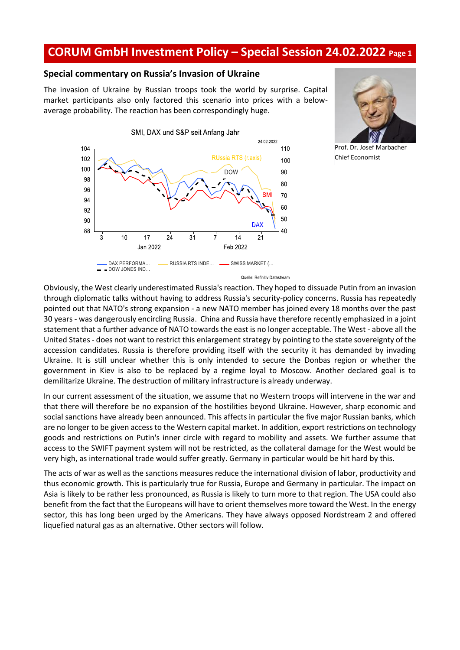## **CORUM GmbH Investment Policy – Special Session 24.02.2022 Page <sup>1</sup>**

## **Special commentary on Russia's Invasion of Ukraine**

The invasion of Ukraine by Russian troops took the world by surprise. Capital market participants also only factored this scenario into prices with a belowaverage probability. The reaction has been correspondingly huge.





Prof. Dr. Josef Marbacher Chief Economist

Quelle: Refinitiv Datastream

Obviously, the West clearly underestimated Russia's reaction. They hoped to dissuade Putin from an invasion through diplomatic talks without having to address Russia's security-policy concerns. Russia has repeatedly pointed out that NATO's strong expansion - a new NATO member has joined every 18 months over the past 30 years - was dangerously encircling Russia. China and Russia have therefore recently emphasized in a joint statement that a further advance of NATO towards the east is no longer acceptable. The West - above all the United States - does not want to restrict this enlargement strategy by pointing to the state sovereignty of the accession candidates. Russia is therefore providing itself with the security it has demanded by invading Ukraine. It is still unclear whether this is only intended to secure the Donbas region or whether the government in Kiev is also to be replaced by a regime loyal to Moscow. Another declared goal is to demilitarize Ukraine. The destruction of military infrastructure is already underway.

In our current assessment of the situation, we assume that no Western troops will intervene in the war and that there will therefore be no expansion of the hostilities beyond Ukraine. However, sharp economic and social sanctions have already been announced. This affects in particular the five major Russian banks, which are no longer to be given access to the Western capital market. In addition, export restrictions on technology goods and restrictions on Putin's inner circle with regard to mobility and assets. We further assume that access to the SWIFT payment system will not be restricted, as the collateral damage for the West would be very high, as international trade would suffer greatly. Germany in particular would be hit hard by this.

The acts of war as well as the sanctions measures reduce the international division of labor, productivity and thus economic growth. This is particularly true for Russia, Europe and Germany in particular. The impact on Asia is likely to be rather less pronounced, as Russia is likely to turn more to that region. The USA could also benefit from the fact that the Europeans will have to orient themselves more toward the West. In the energy sector, this has long been urged by the Americans. They have always opposed Nordstream 2 and offered liquefied natural gas as an alternative. Other sectors will follow.